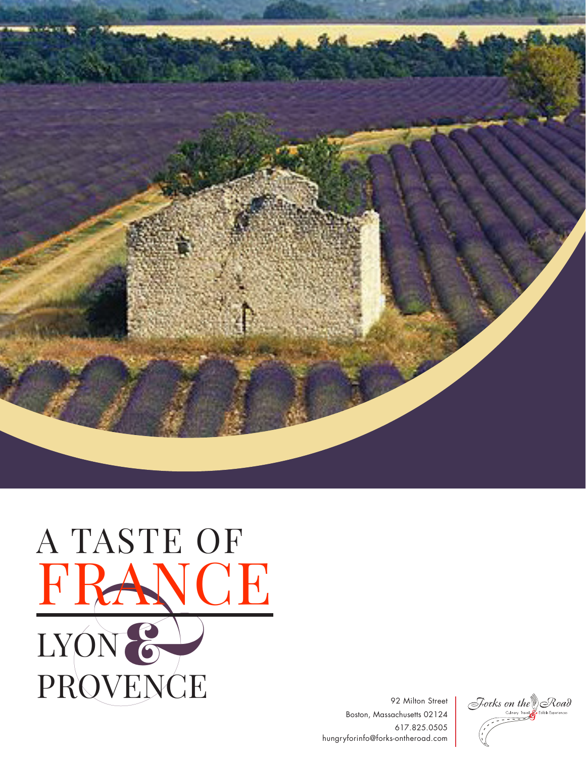

## LYON & PROVENCE A TASTE OF FRANCE

92 Milton Street Boston, Massachusetts 02124 617.825.0505 hungryforinfo@forks-ontheroad.com

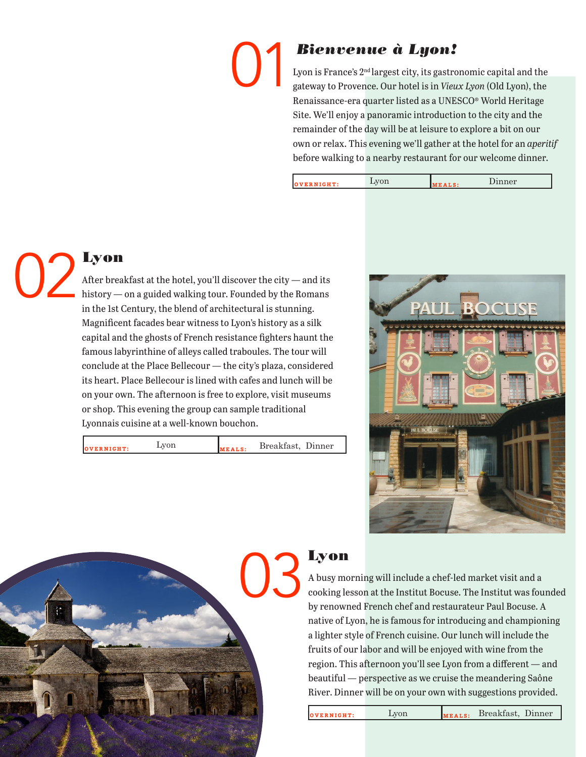# 01

### *Bienvenue à Lyon!*

Lyon is France's 2<sup>nd</sup> largest city, its gastronomic capital and the gateway to Provence. Our hotel is in *Vieux Lyon* (Old Lyon), the Renaissance-era quarter listed as a UNESCO® World Heritage Site. We'll enjoy a panoramic introduction to the city and the remainder of the day will be at leisure to explore a bit on our own or relax. This evening we'll gather at the hotel for an *aperitif*  before walking to a nearby restaurant for our welcome dinner.

| Lyon<br>Dinner<br>OVERNIGHT:<br>MEALS: |  |
|----------------------------------------|--|
|----------------------------------------|--|



#### Lyon

After breakfast at the hotel, you'll discover the city — and its history — on a guided walking tour. Founded by the Romans in the 1st Century, the blend of architectural is stunning. Magnificent facades bear witness to Lyon's history as a silk capital and the ghosts of French resistance fighters haunt the famous labyrinthine of alleys called traboules. The tour will conclude at the Place Bellecour — the city's plaza, considered its heart. Place Bellecour is lined with cafes and lunch will be on your own. The afternoon is free to explore, visit museums or shop. This evening the group can sample traditional Lyonnais cuisine at a well-known bouchon.

**vERNIGHT:** Lyon  $\begin{array}{ccc} \text{Lyon} & \text{Area} & \text{Area} & \text{Area} \end{array}$ 





### Lyon

A busy morning will include a chef-led market visit and a cooking lesson at the Institut Bocuse. The Institut was founded by renowned French chef and restaurateur Paul Bocuse. A native of Lyon, he is famous for introducing and championing a lighter style of French cuisine. Our lunch will include the fruits of our labor and will be enjoyed with wine from the region. This afternoon you'll see Lyon from a different — and beautiful — perspective as we cruise the meandering Saône River. Dinner will be on your own with suggestions provided.

**overnight:** Lyon **meals:** Breakfast, Dinner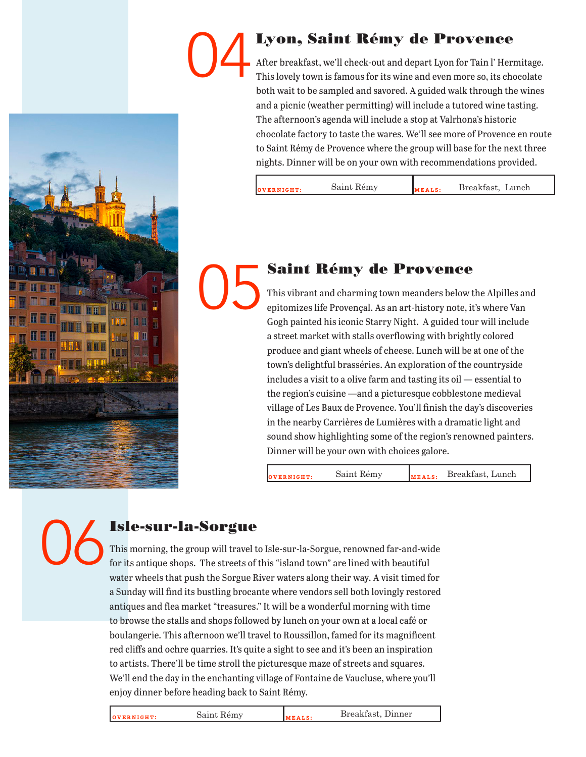### Lyon, Saint Rémy de Provence 04

After breakfast, we'll check-out and depart Lyon for Tain l' Hermitage. This lovely town is famous for its wine and even more so, its chocolate both wait to be sampled and savored. A guided walk through the wines and a picnic (weather permitting) will include a tutored wine tasting. The afternoon's agenda will include a stop at Valrhona's historic chocolate factory to taste the wares. We'll see more of Provence en route to Saint Rémy de Provence where the group will base for the next three nights. Dinner will be on your own with recommendations provided.

| $\eta$ v ernight: | Saint Rémy | <b>MEALS</b> | Breakfast, Lunch |
|-------------------|------------|--------------|------------------|
|                   |            |              |                  |

### Saint Rémy de Provence 05

This vibrant and charming town meanders below the Alpilles and epitomizes life Provençal. As an art-history note, it's where Van Gogh painted his iconic Starry Night. A guided tour will include a street market with stalls overflowing with brightly colored produce and giant wheels of cheese. Lunch will be at one of the town's delightful brasséries. An exploration of the countryside includes a visit to a olive farm and tasting its oil — essential to the region's cuisine —and a picturesque cobblestone medieval village of Les Baux de Provence. You'll finish the day's discoveries in the nearby Carrières de Lumières with a dramatic light and sound show highlighting some of the region's renowned painters. Dinner will be your own with choices galore.

**overnight:** Saint Rémy **meals:** Breakfast, Lunch

06

### Isle-sur-la-Sorgue

This morning, the group will travel to Isle-sur-la-Sorgue, renowned far-and-wide for its antique shops. The streets of this "island town" are lined with beautiful water wheels that push the Sorgue River waters along their way. A visit timed for a Sunday will find its bustling brocante where vendors sell both lovingly restored antiques and flea market "treasures." It will be a wonderful morning with time to browse the stalls and shops followed by lunch on your own at a local café or boulangerie. This afternoon we'll travel to Roussillon, famed for its magnificent red cliffs and ochre quarries. It's quite a sight to see and it's been an inspiration to artists. There'll be time stroll the picturesque maze of streets and squares. We'll end the day in the enchanting village of Fontaine de Vaucluse, where you'll enjoy dinner before heading back to Saint Rémy.

**overnight:** Saint Rémy **meals:** Breakfast, Dinner